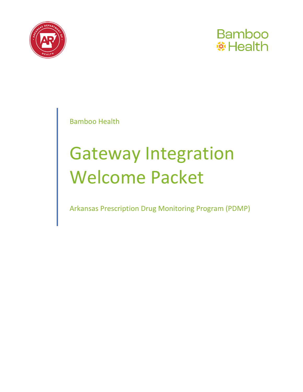



Bamboo Health

# Gateway Integration Welcome Packet

Arkansas Prescription Drug Monitoring Program (PDMP)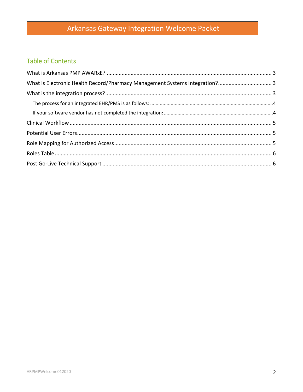## Arkansas Gateway Integration Welcome Packet

## **Table of Contents**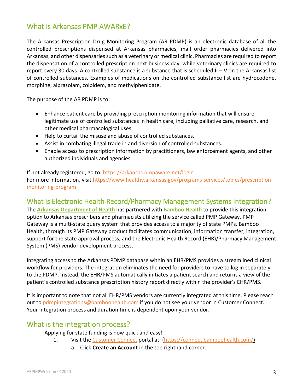## <span id="page-2-0"></span>What is Arkansas PMP AWARxE?

The Arkansas Prescription Drug Monitoring Program (AR PDMP) is an electronic database of all the controlled prescriptions dispensed at Arkansas pharmacies, mail order pharmacies delivered into Arkansas, and other dispensaries such as a veterinary or medical clinic. Pharmacies are required to report the dispensation of a controlled prescription next business day, while veterinary clinics are required to report every 30 days. A controlled substance is a substance that is scheduled II – V on the Arkansas list of controlled substances. Examples of medications on the controlled substance list are hydrocodone, morphine, alprazolam, zolpidem, and methylphenidate.

The purpose of the AR PDMP is to:

- Enhance patient care by providing prescription monitoring information that will ensure legitimate use of controlled substances in health care, including palliative care, research, and other medical pharmacological uses.
- Help to curtail the misuse and abuse of controlled substances.
- Assist in combating illegal trade in and diversion of controlled substances.
- Enable access to prescription information by practitioners, law enforcement agents, and other authorized individuals and agencies.

If not already registered, go to:<https://arkansas.pmpaware.net/login> For more information, visit [https://www.healthy.arkansas.gov/programs-services/topics/prescription](https://www.healthy.arkansas.gov/programs-services/topics/prescription-monitoring-program)[monitoring-program](https://www.healthy.arkansas.gov/programs-services/topics/prescription-monitoring-program)

## <span id="page-2-1"></span>What is Electronic Health Record/Pharmacy Management Systems Integration?

The **[Arkansas Department of Health](https://www.healthy.arkansas.gov/programs-services/topics/prescription-monitoring-program)** has partnered with **[Bamboo](http://www.apprisshealth.com/) Health** to provide this integration option to Arkansas prescribers and pharmacists utilizing the service called PMP Gateway. PMP Gateway is a multi-state query system that provides access to a majority of state PMPs. Bamboo Health, through its PMP Gateway product facilitates communication, information transfer, integration, support for the state approval process, and the Electronic Health Record (EHR)/Pharmacy Management System (PMS) vendor development process.

Integrating access to the Arkansas PDMP database within an EHR/PMS provides a streamlined clinical workflow for providers. The integration eliminates the need for providers to have to log in separately to the PDMP. Instead, the EHR/PMS automatically initiates a patient search and returns a view of the patient's controlled substance prescription history report directly within the provider's EHR/PMS.

<span id="page-2-2"></span>It is important to note that not all EHR/PMS vendors are currently integrated at this time. Please reach out to pdmpintegrations@bamboohealth.com if you do not see your vendor in Customer Connect. Your integration process and duration time is dependent upon your vendor.

## What is the integration process?

Applying for state funding is now quick and easy!

- 1. Visit th[e Customer Connect](https://connect.bamboohealth.com/) portal at: [\(https://connect.bamboohealth.com/\)](https://nam12.safelinks.protection.outlook.com/?url=https%3A%2F%2Fconnect.bamboohealth.com%2F&data=04%7C01%7Ceogrady%40bamboohealth.com%7C28590f4b4af0444a0a2608d9df4c7b9a%7C55ec28f041464813b44119cd18fa0fe6%7C0%7C0%7C637786341853397005%7CUnknown%7CTWFpbGZsb3d8eyJWIjoiMC4wLjAwMDAiLCJQIjoiV2luMzIiLCJBTiI6Ik1haWwiLCJXVCI6Mn0%3D%7C3000&sdata=FURHdS4SG%2BUZH%2B17eR12tElfxp00bQRTStie%2BeeXbAU%3D&reserved=0)
	- a. Click **Create an Account** in the top righthand corner.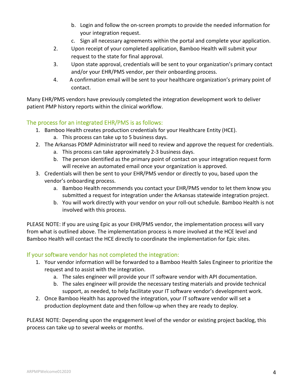- b. Login and follow the on-screen prompts to provide the needed information for your integration request.
- c. Sign all necessary agreements within the portal and complete your application.
- 2. Upon receipt of your completed application, Bamboo Health will submit your request to the state for final approval.
- 3. Upon state approval, credentials will be sent to your organization's primary contact and/or your EHR/PMS vendor, per their onboarding process.
- 4. A confirmation email will be sent to your healthcare organization's primary point of contact.

Many EHR/PMS vendors have previously completed the integration development work to deliver patient PMP history reports within the clinical workflow.

#### <span id="page-3-0"></span>The process for an integrated EHR/PMS is as follows:

- 1. Bamboo Health creates production credentials for your Healthcare Entity (HCE). a. This process can take up to 5 business days.
- 2. The Arkansas PDMP Administrator will need to review and approve the request for credentials.
	- a. This process can take approximately 2-3 business days.
	- b. The person identified as the primary point of contact on your integration request form will receive an automated email once your organization is approved.
- 3. Credentials will then be sent to your EHR/PMS vendor or directly to you, based upon the vendor's onboarding process.
	- a. Bamboo Health recommends you contact your EHR/PMS vendor to let them know you submitted a request for integration under the Arkansas statewide integration project.
	- b. You will work directly with your vendor on your roll-out schedule. Bamboo Health is not involved with this process.

PLEASE NOTE: If you are using Epic as your EHR/PMS vendor, the implementation process will vary from what is outlined above. The implementation process is more involved at the HCE level and Bamboo Health will contact the HCE directly to coordinate the implementation for Epic sites.

#### <span id="page-3-1"></span>If your software vendor has not completed the integration:

- 1. Your vendor information will be forwarded to a Bamboo Health Sales Engineer to prioritize the request and to assist with the integration.
	- a. The sales engineer will provide your IT software vendor with API documentation.
	- b. The sales engineer will provide the necessary testing materials and provide technical support, as needed, to help facilitate your IT software vendor's development work.
- 2. Once Bamboo Health has approved the integration, your IT software vendor will set a production deployment date and then follow-up when they are ready to deploy.

PLEASE NOTE: Depending upon the engagement level of the vendor or existing project backlog, this process can take up to several weeks or months.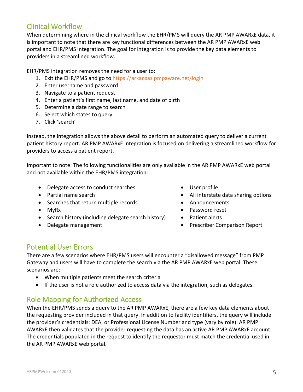## <span id="page-4-0"></span>Clinical Workflow

When determining where in the clinical workflow the EHR/PMS will query the AR PMP AWARxE data, it is important to note that there are key functional differences between the AR PMP AWARxE web portal and EHR/PMS integration. The goal for integration is to provide the key data elements to providers in a streamlined workflow.

EHR/PMS integration removes the need for a user to:

- 1. Exit the EHR/PMS and go to<https://arkansas.pmpaware.net/login>
- 2. Enter username and password
- 3. Navigate to a patient request
- 4. Enter a patient's first name, last name, and date of birth
- 5. Determine a date range to search
- 6. Select which states to query
- 7. Click 'search'

Instead, the integration allows the above detail to perform an automated query to deliver a current patient history report. AR PMP AWARxE integration is focused on delivering a streamlined workflow for providers to access a patient report.

Important to note: The following functionalities are only available in the AR PMP AWARxE web portal and not available within the EHR/PMS integration:

- Delegate access to conduct searches
- Partial name search
- Searches that return multiple records
- MyRx
- Search history (including delegate search history)
- Delegate management
- User profile
- All interstate data sharing options
- Announcements
- Password reset
- Patient alerts
- Prescriber Comparison Report

## <span id="page-4-1"></span>Potential User Errors

There are a few scenarios where EHR/PMS users will encounter a "disallowed message" from PMP Gateway and users will have to complete the search via the AR PMP AWARxE web portal. These scenarios are:

- When multiple patients meet the search criteria
- If the user is not a role authorized to access data via the integration, such as delegates.

## <span id="page-4-2"></span>Role Mapping for Authorized Access

When the EHR/PMS sends a query to the AR PMP AWARxE, there are a few key data elements about the requesting provider included in that query. In addition to facility identifiers, the query will include the provider's credentials: DEA, or Professional License Number and type (vary by role). AR PMP AWARxE then validates that the provider requesting the data has an active AR PMP AWARxE account. The credentials populated in the request to identify the requestor must match the credential used in the AR PMP AWARxE web portal.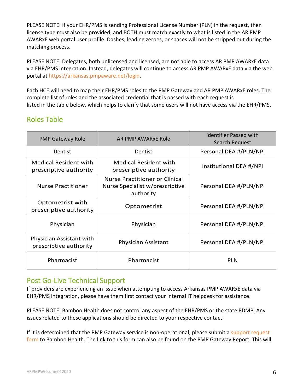PLEASE NOTE: If your EHR/PMS is sending Professional License Number (PLN) in the request, then license type must also be provided, and BOTH must match exactly to what is listed in the AR PMP AWARxE web portal user profile. Dashes, leading zeroes, or spaces will not be stripped out during the matching process.

PLEASE NOTE: Delegates, both unlicensed and licensed, are not able to access AR PMP AWARxE data via EHR/PMS integration. Instead, delegates will continue to access AR PMP AWARxE data via the web portal at [https://arkansas.pmpaware.net/login.](https://arkansas.pmpaware.net/login)

Each HCE will need to map their EHR/PMS roles to the PMP Gateway and AR PMP AWARxE roles. The complete list of roles and the associated credential that is passed with each request is listed in the table below, which helps to clarify that some users will not have access via the EHR/PMS.

## <span id="page-5-0"></span>Roles Table

| <b>PMP Gateway Role</b>                                | AR PMP AWARXE Role                                                                    | Identifier Passed with<br>Search Request |
|--------------------------------------------------------|---------------------------------------------------------------------------------------|------------------------------------------|
| Dentist                                                | Dentist                                                                               | Personal DEA #/PLN/NPI                   |
| <b>Medical Resident with</b><br>prescriptive authority | <b>Medical Resident with</b><br>prescriptive authority                                | Institutional DEA #/NPI                  |
| Nurse Practitioner                                     | <b>Nurse Practitioner or Clinical</b><br>Nurse Specialist w/prescriptive<br>authority | Personal DEA #/PLN/NPI                   |
| Optometrist with<br>prescriptive authority             | Optometrist                                                                           | Personal DEA #/PLN/NPI                   |
| Physician                                              | Physician                                                                             | Personal DEA #/PLN/NPI                   |
| Physician Assistant with<br>prescriptive authority     | <b>Physician Assistant</b>                                                            | Personal DEA #/PLN/NPI                   |
| Pharmacist                                             | Pharmacist                                                                            | <b>PLN</b>                               |

## <span id="page-5-1"></span>Post Go-Live Technical Support

If providers are experiencing an issue when attempting to access Arkansas PMP AWARxE data via EHR/PMS integration, please have them first contact your internal IT helpdesk for assistance.

PLEASE NOTE: Bamboo Health does not control any aspect of the EHR/PMS or the state PDMP. Any issues related to these applications should be directed to your respective contact.

If it is determined that the PMP Gateway service is non-operational, please submit a [support request](https://pmpgateway.zendesk.com/hc/en-us)  [form](https://pmpgateway.zendesk.com/hc/en-us) to Bamboo Health. The link to this form can also be found on the PMP Gateway Report. This will